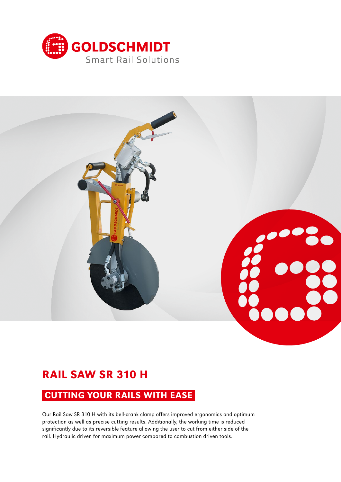



# RAIL SAW SR 310 H

### CUTTING YOUR RAILS WITH EASE

Our Rail Saw SR 310 H with its bell-crank clamp offers improved ergonomics and optimum protection as well as precise cutting results. Additionally, the working time is reduced significantly due to its reversible feature allowing the user to cut from either side of the rail. Hydraulic driven for maximum power compared to combustion driven tools.